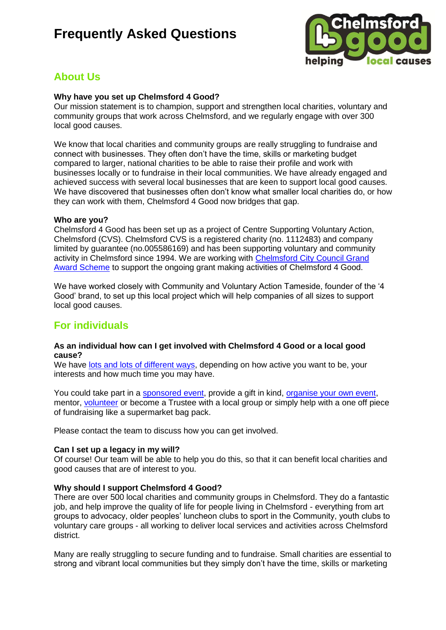

## **About Us**

### **Why have you set up Chelmsford 4 Good?**

Our mission statement is to champion, support and strengthen local charities, voluntary and community groups that work across Chelmsford, and we regularly engage with over 300 local good causes.

We know that local charities and community groups are really struggling to fundraise and connect with businesses. They often don't have the time, skills or marketing budget compared to larger, national charities to be able to raise their profile and work with businesses locally or to fundraise in their local communities. We have already engaged and achieved success with several local businesses that are keen to support local good causes. We have discovered that businesses often don't know what smaller local charities do, or how they can work with them, Chelmsford 4 Good now bridges that gap.

### **Who are you?**

Chelmsford 4 Good has been set up as a project of Centre Supporting Voluntary Action, Chelmsford (CVS). Chelmsford CVS is a registered charity (no. 1112483) and company limited by guarantee (no.005586169) and has been supporting voluntary and community activity in Chelmsford since 1994. We are working with [Chelmsford City Council Grand](http://www.chelmsfordgrandawards.co.uk/)  [Award Scheme](http://www.chelmsfordgrandawards.co.uk/) to support the ongoing grant making activities of Chelmsford 4 Good.

We have worked closely with Community and Voluntary Action Tameside, founder of the '4 Good' brand, to set up this local project which will help companies of all sizes to support local good causes.

### **For individuals**

### **As an individual how can I get involved with Chelmsford 4 Good or a local good cause?**

We have [lots and lots of different ways,](http://c4g.esptest.co.uk/who-we-are) depending on how active you want to be, your interests and how much time you may have.

You could take part in a [sponsored event,](http://c4g.esptest.co.uk/get-involved/fundraising) provide a gift in kind, [organise your own event,](http://c4g.esptest.co.uk/get-involved/fundraising) mentor, [volunteer](http://c4g.esptest.co.uk/get-involved/volunteer) or become a Trustee with a local group or simply help with a one off piece of fundraising like a supermarket bag pack.

Please contact the team to discuss how you can get involved.

### **Can I set up a legacy in my will?**

Of course! Our team will be able to help you do this, so that it can benefit local charities and good causes that are of interest to you.

### **Why should I support Chelmsford 4 Good?**

There are over 500 local charities and community groups in Chelmsford. They do a fantastic job, and help improve the quality of life for people living in Chelmsford - everything from art groups to advocacy, older peoples' luncheon clubs to sport in the Community, youth clubs to voluntary care groups - all working to deliver local services and activities across Chelmsford district.

Many are really struggling to secure funding and to fundraise. Small charities are essential to strong and vibrant local communities but they simply don't have the time, skills or marketing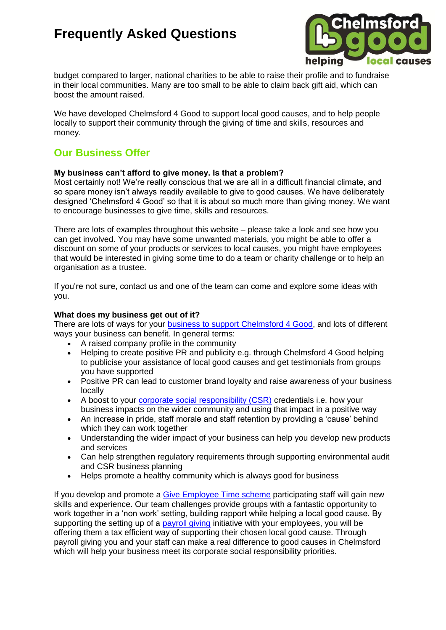

budget compared to larger, national charities to be able to raise their profile and to fundraise in their local communities. Many are too small to be able to claim back gift aid, which can boost the amount raised.

We have developed Chelmsford 4 Good to support local good causes, and to help people locally to support their community through the giving of time and skills, resources and money.

### **Our Business Offer**

### **My business can't afford to give money. Is that a problem?**

Most certainly not! We're really conscious that we are all in a difficult financial climate, and so spare money isn't always readily available to give to good causes. We have deliberately designed 'Chelmsford 4 Good' so that it is about so much more than giving money. We want to encourage businesses to give time, skills and resources.

There are lots of examples throughout this website – please take a look and see how you can get involved. You may have some unwanted materials, you might be able to offer a discount on some of your products or services to local causes, you might have employees that would be interested in giving some time to do a team or charity challenge or to help an organisation as a trustee.

If you're not sure, contact us and one of the team can come and explore some ideas with you.

### **What does my business get out of it?**

There are lots of ways for your [business to support Chelmsford 4 Good,](http://c4g.esptest.co.uk/get-involved/businesses) and lots of different ways your business can benefit. In general terms:

- A raised company profile in the community
- Helping to create positive PR and publicity e.g. through Chelmsford 4 Good helping to publicise your assistance of local good causes and get testimonials from groups you have supported
- Positive PR can lead to customer brand loyalty and raise awareness of your business locally
- A boost to your [corporate social responsibility \(CSR\)](http://c4g.esptest.co.uk/get-involved-businesses/corporate-responsibility) credentials i.e. how your business impacts on the wider community and using that impact in a positive way
- An increase in pride, staff morale and staff retention by providing a 'cause' behind which they can work together
- Understanding the wider impact of your business can help you develop new products and services
- Can help strengthen regulatory requirements through supporting environmental audit and CSR business planning
- Helps promote a healthy community which is always good for business

If you develop and promote a [Give Employee Time scheme](http://c4g.esptest.co.uk/get-involved-businesses/employer-supported-volunteering) participating staff will gain new skills and experience. Our team challenges provide groups with a fantastic opportunity to work together in a 'non work' setting, building rapport while helping a local good cause. By supporting the setting up of a [payroll giving](http://c4g.esptest.co.uk/get-involved-businesses/payroll-giving) initiative with your employees, you will be offering them a tax efficient way of supporting their chosen local good cause. Through payroll giving you and your staff can make a real difference to good causes in Chelmsford which will help your business meet its corporate social responsibility priorities.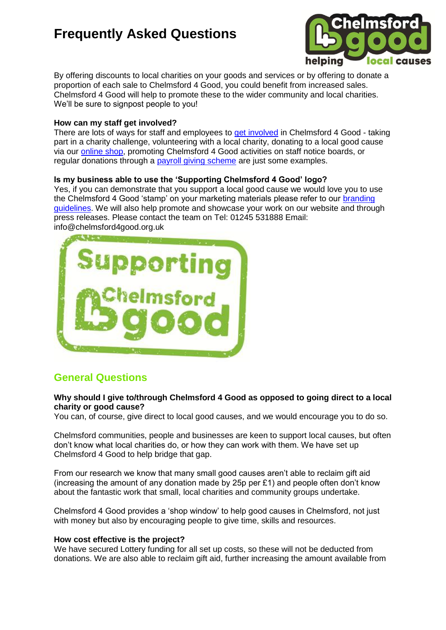

By offering discounts to local charities on your goods and services or by offering to donate a proportion of each sale to Chelmsford 4 Good, you could benefit from increased sales. Chelmsford 4 Good will help to promote these to the wider community and local charities. We'll be sure to signpost people to you!

### **How can my staff get involved?**

There are lots of ways for staff and employees to [get involved](http://c4g.esptest.co.uk/get-involved) in Chelmsford 4 Good - taking part in a charity challenge, volunteering with a local charity, donating to a local good cause via our [online shop,](http://c4g.esptest.co.uk/shop) promoting Chelmsford 4 Good activities on staff notice boards, or regular donations through a [payroll giving scheme](http://c4g.esptest.co.uk/get-involved-businesses/payroll-giving) are just some examples.

### **Is my business able to use the 'Supporting Chelmsford 4 Good' logo?**

Yes, if you can demonstrate that you support a local good cause we would love you to use the Chelmsford 4 Good 'stamp' on your marketing materials please refer to our branding [guidelines.](http://c4g.esptest.co.uk/sites/c4g/files/Chelmsford%204%20Good%20brand%20guidelines.pdf) We will also help promote and showcase your work on our website and through press releases. Please contact the team on Tel: 01245 531888 Email: info@chelmsford4good.org.uk



## **General Questions**

### **Why should I give to/through Chelmsford 4 Good as opposed to going direct to a local charity or good cause?**

You can, of course, give direct to local good causes, and we would encourage you to do so.

Chelmsford communities, people and businesses are keen to support local causes, but often don't know what local charities do, or how they can work with them. We have set up Chelmsford 4 Good to help bridge that gap.

From our research we know that many small good causes aren't able to reclaim gift aid (increasing the amount of any donation made by 25p per  $£1$ ) and people often don't know about the fantastic work that small, local charities and community groups undertake.

Chelmsford 4 Good provides a 'shop window' to help good causes in Chelmsford, not just with money but also by encouraging people to give time, skills and resources.

### **How cost effective is the project?**

We have secured Lottery funding for all set up costs, so these will not be deducted from donations. We are also able to reclaim gift aid, further increasing the amount available from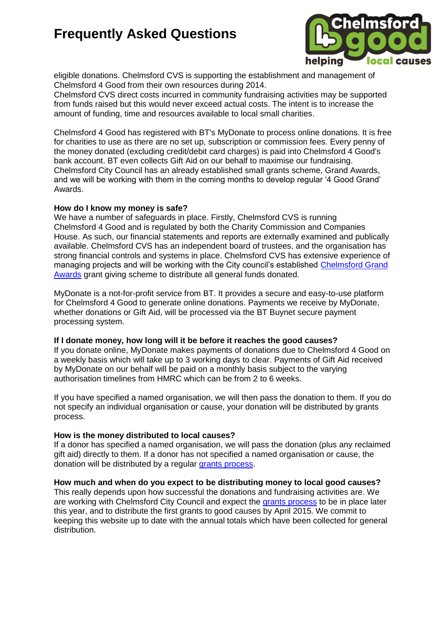

eligible donations. Chelmsford CVS is supporting the establishment and management of Chelmsford 4 Good from their own resources during 2014.

Chelmsford CVS direct costs incurred in community fundraising activities may be supported from funds raised but this would never exceed actual costs. The intent is to increase the amount of funding, time and resources available to local small charities.

Chelmsford 4 Good has registered with BT's MyDonate to process online donations. It is free for charities to use as there are no set up, subscription or commission fees. Every penny of the money donated (excluding credit/debit card charges) is paid into Chelmsford 4 Good's bank account. BT even collects Gift Aid on our behalf to maximise our fundraising. Chelmsford City Council has an already established small grants scheme, Grand Awards, and we will be working with them in the coming months to develop regular '4 Good Grand' Awards.

### **How do I know my money is safe?**

We have a number of safeguards in place. Firstly, Chelmsford CVS is running Chelmsford 4 Good and is regulated by both the Charity Commission and Companies House. As such, our financial statements and reports are externally examined and publically available. Chelmsford CVS has an independent board of trustees, and the organisation has strong financial controls and systems in place. Chelmsford CVS has extensive experience of managing projects and will be working with the City council's established [Chelmsford Grand](http://www.chelmsfordgrandawards.co.uk/)  [Awards](http://www.chelmsfordgrandawards.co.uk/) grant giving scheme to distribute all general funds donated.

MyDonate is a not-for-profit service from BT. It provides a secure and easy-to-use platform for Chelmsford 4 Good to generate online donations. Payments we receive by MyDonate, whether donations or Gift Aid, will be processed via the BT Buynet secure payment processing system.

#### **If I donate money, how long will it be before it reaches the good causes?**

If you donate online, MyDonate makes payments of donations due to Chelmsford 4 Good on a weekly basis which will take up to 3 working days to clear. Payments of Gift Aid received by MyDonate on our behalf will be paid on a monthly basis subject to the varying authorisation timelines from HMRC which can be from 2 to 6 weeks.

If you have specified a named organisation, we will then pass the donation to them. If you do not specify an individual organisation or cause, your donation will be distributed by grants process.

#### **How is the money distributed to local causes?**

If a donor has specified a named organisation, we will pass the donation (plus any reclaimed gift aid) directly to them. If a donor has not specified a named organisation or cause, the donation will be distributed by a regular [grants process.](http://www.chelmsfordgrandawards.co.uk/site-page/apply)

#### **How much and when do you expect to be distributing money to local good causes?**

This really depends upon how successful the donations and fundraising activities are. We are working with Chelmsford City Council and expect the [grants process](http://www.chelmsfordgrandawards.co.uk/site-page/apply) to be in place later this year, and to distribute the first grants to good causes by April 2015. We commit to keeping this website up to date with the annual totals which have been collected for general distribution.